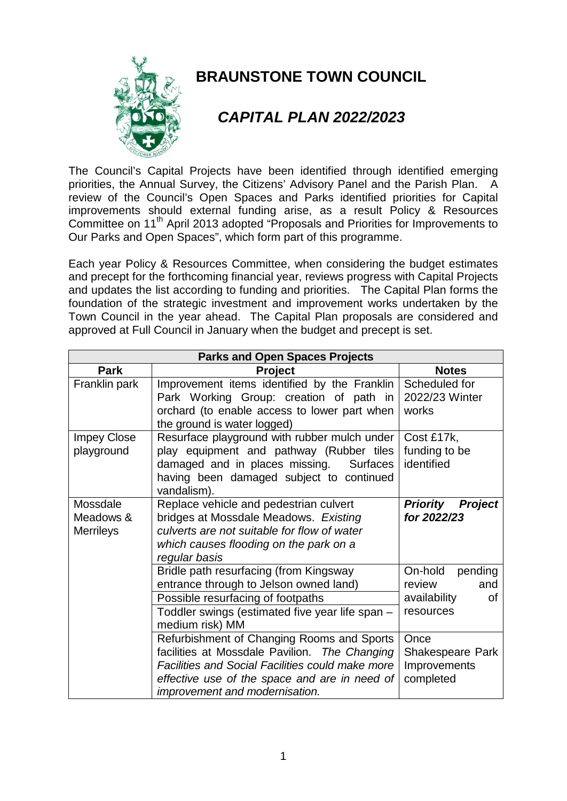

## **BRAUNSTONE TOWN COUNCIL**

## *CAPITAL PLAN 2022/2023*

The Council's Capital Projects have been identified through identified emerging priorities, the Annual Survey, the Citizens' Advisory Panel and the Parish Plan. A review of the Council's Open Spaces and Parks identified priorities for Capital improvements should external funding arise, as a result Policy & Resources Committee on 11<sup>th</sup> April 2013 adopted "Proposals and Priorities for Improvements to Our Parks and Open Spaces", which form part of this programme.

Each year Policy & Resources Committee, when considering the budget estimates and precept for the forthcoming financial year, reviews progress with Capital Projects and updates the list according to funding and priorities. The Capital Plan forms the foundation of the strategic investment and improvement works undertaken by the Town Council in the year ahead. The Capital Plan proposals are considered and approved at Full Council in January when the budget and precept is set.

| <b>Parks and Open Spaces Projects</b>     |                                                                                                                                                                                                                                           |                                                                        |
|-------------------------------------------|-------------------------------------------------------------------------------------------------------------------------------------------------------------------------------------------------------------------------------------------|------------------------------------------------------------------------|
| <b>Park</b>                               | <b>Project</b>                                                                                                                                                                                                                            | <b>Notes</b>                                                           |
| Franklin park                             | Improvement items identified by the Franklin<br>Park Working Group: creation of path in<br>orchard (to enable access to lower part when<br>the ground is water logged)                                                                    | Scheduled for<br>2022/23 Winter<br>works                               |
| <b>Impey Close</b><br>playground          | Resurface playground with rubber mulch under<br>play equipment and pathway (Rubber tiles<br>damaged and in places missing. Surfaces<br>having been damaged subject to continued<br>vandalism).                                            | Cost £17k,<br>funding to be<br>identified                              |
| Mossdale<br>Meadows &<br><b>Merrileys</b> | Replace vehicle and pedestrian culvert<br>bridges at Mossdale Meadows. Existing<br>culverts are not suitable for flow of water<br>which causes flooding on the park on a<br>regular basis                                                 | <b>Priority</b><br><b>Project</b><br>for 2022/23                       |
|                                           | Bridle path resurfacing (from Kingsway<br>entrance through to Jelson owned land)<br>Possible resurfacing of footpaths<br>Toddler swings (estimated five year life span -<br>medium risk) MM                                               | On-hold<br>pending<br>review<br>and<br>availability<br>0f<br>resources |
|                                           | Refurbishment of Changing Rooms and Sports<br>facilities at Mossdale Pavilion. The Changing<br><b>Facilities and Social Facilities could make more</b><br>effective use of the space and are in need of<br>improvement and modernisation. | Once<br>Shakespeare Park<br>Improvements<br>completed                  |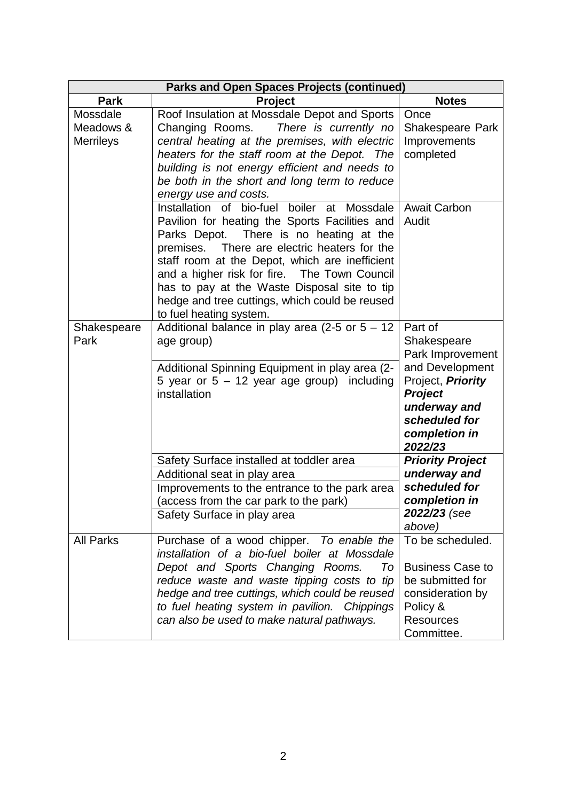| <b>Parks and Open Spaces Projects (continued)</b> |                                                                                                                                                                                                                                                                                                                                                                                                                                     |                                                                                                                                                                   |
|---------------------------------------------------|-------------------------------------------------------------------------------------------------------------------------------------------------------------------------------------------------------------------------------------------------------------------------------------------------------------------------------------------------------------------------------------------------------------------------------------|-------------------------------------------------------------------------------------------------------------------------------------------------------------------|
| <b>Park</b>                                       | <b>Project</b>                                                                                                                                                                                                                                                                                                                                                                                                                      | <b>Notes</b>                                                                                                                                                      |
| Mossdale<br>Meadows &<br><b>Merrileys</b>         | Roof Insulation at Mossdale Depot and Sports<br>Changing Rooms.<br>There is currently no<br>central heating at the premises, with electric<br>heaters for the staff room at the Depot. The<br>building is not energy efficient and needs to<br>be both in the short and long term to reduce<br>energy use and costs.                                                                                                                | Once<br>Shakespeare Park<br>Improvements<br>completed                                                                                                             |
|                                                   | Installation of bio-fuel<br>boiler at<br>Mossdale<br>Pavilion for heating the Sports Facilities and<br>There is no heating at the<br>Parks Depot.<br>There are electric heaters for the<br>premises.<br>staff room at the Depot, which are inefficient<br>and a higher risk for fire. The Town Council<br>has to pay at the Waste Disposal site to tip<br>hedge and tree cuttings, which could be reused<br>to fuel heating system. | <b>Await Carbon</b><br>Audit                                                                                                                                      |
| Shakespeare<br>Park                               | Additional balance in play area (2-5 or $5 - 12$<br>age group)<br>Additional Spinning Equipment in play area (2-<br>5 year or $5 - 12$ year age group) including<br>installation                                                                                                                                                                                                                                                    | Part of<br>Shakespeare<br>Park Improvement<br>and Development<br>Project, Priority<br><b>Project</b><br>underway and<br>scheduled for<br>completion in<br>2022/23 |
|                                                   | Safety Surface installed at toddler area<br>Additional seat in play area<br>Improvements to the entrance to the park area<br>(access from the car park to the park)<br>Safety Surface in play area                                                                                                                                                                                                                                  | <b>Priority Project</b><br>underway and<br>scheduled for<br>completion in<br>2022/23 (see<br>above)                                                               |
| <b>All Parks</b>                                  | Purchase of a wood chipper. To enable the<br>installation of a bio-fuel boiler at Mossdale<br>Depot and Sports Changing Rooms.<br>To<br>reduce waste and waste tipping costs to tip<br>hedge and tree cuttings, which could be reused<br>to fuel heating system in pavilion. Chippings<br>can also be used to make natural pathways.                                                                                                | To be scheduled.<br><b>Business Case to</b><br>be submitted for<br>consideration by<br>Policy &<br><b>Resources</b><br>Committee.                                 |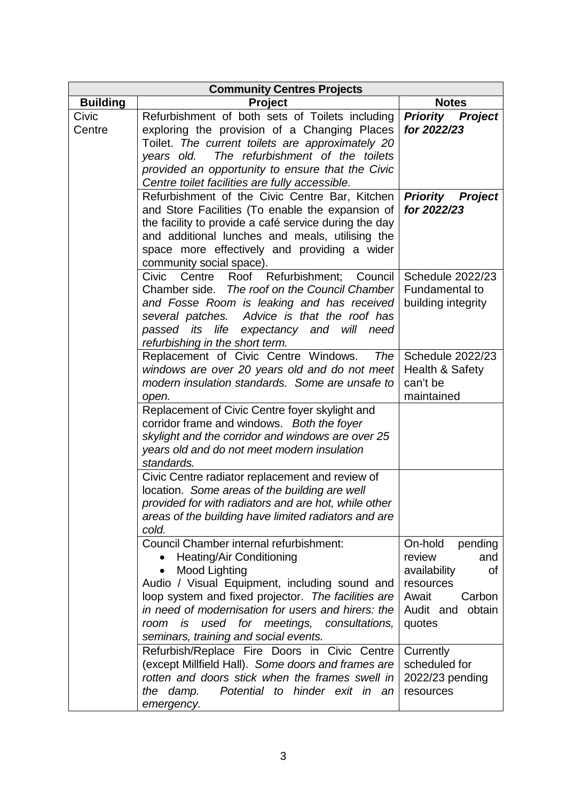|                 | <b>Community Centres Projects</b>                                                                                                                                                                                                                                                                                                                  |                                                                                                                            |
|-----------------|----------------------------------------------------------------------------------------------------------------------------------------------------------------------------------------------------------------------------------------------------------------------------------------------------------------------------------------------------|----------------------------------------------------------------------------------------------------------------------------|
| <b>Building</b> | <b>Project</b>                                                                                                                                                                                                                                                                                                                                     | <b>Notes</b>                                                                                                               |
| Civic<br>Centre | Refurbishment of both sets of Toilets including<br>exploring the provision of a Changing Places<br>Toilet. The current toilets are approximately 20<br>The refurbishment of the toilets<br>years old.<br>provided an opportunity to ensure that the Civic<br>Centre toilet facilities are fully accessible.                                        | <b>Priority Project</b><br>for 2022/23                                                                                     |
|                 | Refurbishment of the Civic Centre Bar, Kitchen<br>and Store Facilities (To enable the expansion of<br>the facility to provide a café service during the day<br>and additional lunches and meals, utilising the<br>space more effectively and providing a wider<br>community social space).                                                         | <b>Priority Project</b><br>for 2022/23                                                                                     |
|                 | Civic Centre Roof Refurbishment; Council<br>Chamber side. The roof on the Council Chamber<br>and Fosse Room is leaking and has received<br>several patches. Advice is that the roof has<br>passed its life expectancy and will<br>need<br>refurbishing in the short term.                                                                          | <b>Schedule 2022/23</b><br><b>Fundamental to</b><br>building integrity                                                     |
|                 | Replacement of Civic Centre Windows.<br>The<br>windows are over 20 years old and do not meet<br>modern insulation standards. Some are unsafe to<br>open.                                                                                                                                                                                           | Schedule 2022/23<br>Health & Safety<br>can't be<br>maintained                                                              |
|                 | Replacement of Civic Centre foyer skylight and<br>corridor frame and windows. Both the foyer<br>skylight and the corridor and windows are over 25<br>years old and do not meet modern insulation<br>standards.                                                                                                                                     |                                                                                                                            |
|                 | Civic Centre radiator replacement and review of<br>location. Some areas of the building are well<br>provided for with radiators and are hot, while other<br>areas of the building have limited radiators and are<br>cold.                                                                                                                          |                                                                                                                            |
|                 | Council Chamber internal refurbishment:<br><b>Heating/Air Conditioning</b><br>Mood Lighting<br>Audio / Visual Equipment, including sound and<br>loop system and fixed projector. The facilities are<br>in need of modernisation for users and hirers: the<br>used for meetings, consultations,<br>room is<br>seminars, training and social events. | On-hold<br>pending<br>review<br>and<br>availability<br>0f<br>resources<br>Await<br>Carbon<br>Audit and<br>obtain<br>quotes |
|                 | Refurbish/Replace Fire Doors in Civic Centre<br>(except Millfield Hall). Some doors and frames are<br>rotten and doors stick when the frames swell in<br>Potential to hinder exit in an<br>the damp.<br>emergency.                                                                                                                                 | Currently<br>scheduled for<br>2022/23 pending<br>resources                                                                 |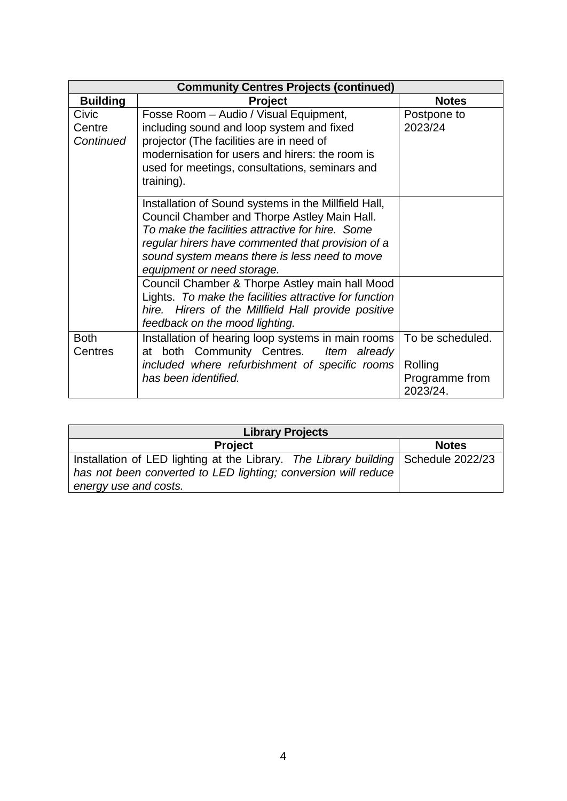| <b>Community Centres Projects (continued)</b> |                                                                                                                                                                                                                                                                                              |                                                           |
|-----------------------------------------------|----------------------------------------------------------------------------------------------------------------------------------------------------------------------------------------------------------------------------------------------------------------------------------------------|-----------------------------------------------------------|
| <b>Building</b>                               | <b>Project</b>                                                                                                                                                                                                                                                                               | <b>Notes</b>                                              |
| Civic<br>Centre<br>Continued                  | Fosse Room - Audio / Visual Equipment,<br>including sound and loop system and fixed<br>projector (The facilities are in need of<br>modernisation for users and hirers: the room is<br>used for meetings, consultations, seminars and<br>training).                                           | Postpone to<br>2023/24                                    |
|                                               | Installation of Sound systems in the Millfield Hall,<br>Council Chamber and Thorpe Astley Main Hall.<br>To make the facilities attractive for hire. Some<br>regular hirers have commented that provision of a<br>sound system means there is less need to move<br>equipment or need storage. |                                                           |
|                                               | Council Chamber & Thorpe Astley main hall Mood<br>Lights. To make the facilities attractive for function<br>Hirers of the Millfield Hall provide positive<br>hire.<br>feedback on the mood lighting.                                                                                         |                                                           |
| <b>Both</b><br>Centres                        | Installation of hearing loop systems in main rooms<br>at both Community Centres. Item already<br>included where refurbishment of specific rooms<br>has been identified.                                                                                                                      | To be scheduled.<br>Rolling<br>Programme from<br>2023/24. |

| <b>Library Projects</b>                                                            |              |  |  |
|------------------------------------------------------------------------------------|--------------|--|--|
| <b>Project</b>                                                                     | <b>Notes</b> |  |  |
| Installation of LED lighting at the Library. The Library building Schedule 2022/23 |              |  |  |
| has not been converted to LED lighting; conversion will reduce                     |              |  |  |
| energy use and costs.                                                              |              |  |  |